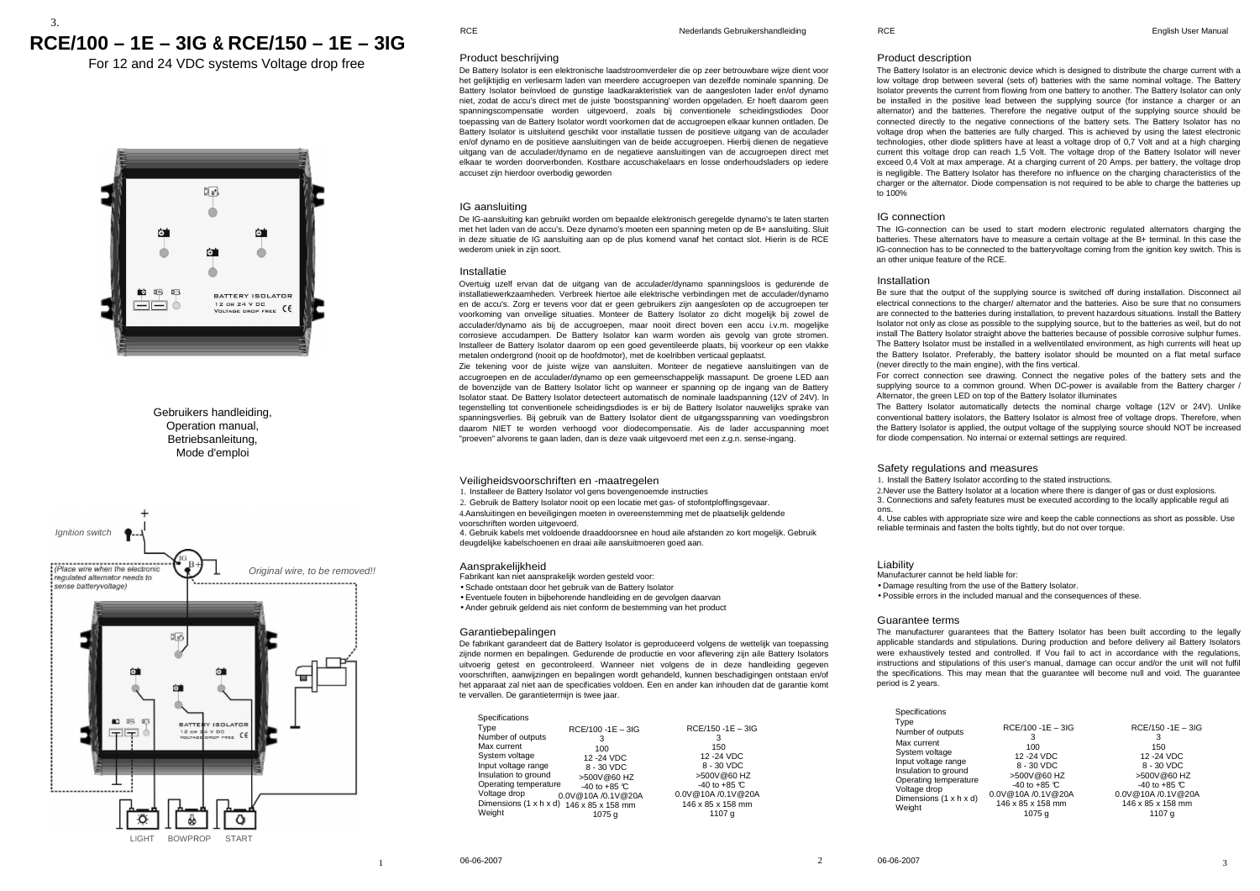# 3.**RCE/100 – 1E – 3IG & RCE/150 – 1E – 3IG**

For 12 and 24 VDC systems Voltage drop free



## Gebruikers handleiding, Operation manual, **Betriebsanleitung** Mode d'emploi



### Product beschrijving

 De Battery Isolator is een elektronische laadstroomverdeler die op zeer betrouwbare wijze dient voor het gelijktijdig en verliesarm laden van meerdere accugroepen van dezelfde nominale spanning. De Battery Isolator beïnvloed de gunstige laadkarakteristiek van de aangesloten lader en/of dynamo niet, zodat de accu's direct met de juiste 'boostspanning' worden opgeladen. Er hoeft daarom geen spanningscompensatie worden uitgevoerd, zoals bij conventionele scheidingsdiodes Door toepassing van de Battery Isolator wordt voorkomen dat de accugroepen elkaar kunnen ontladen. De Battery Isolator is uitsluitend geschikt voor installatie tussen de positieve uitgang van de acculader en/of dynamo en de positieve aansluitingen van de beide accugroepen. Hierbij dienen de negatieve uitgang van de acculader/dynamo en de negatieve aansluitingen van de accugroepen direct met elkaar te worden doorverbonden. Kostbare accuschakelaars en losse onderhoudsladers op iedere accuset zijn hierdoor overbodig geworden

#### IG aansluiting

 De IG-aansluiting kan gebruikt worden om bepaalde elektronisch geregelde dynamo's te laten starten met het laden van de accu's. Deze dynamo's moeten een spanning meten op de B+ aansluiting. Sluit in deze situatie de IG aansluiting aan op de plus komend vanaf het contact slot. Hierin is de RCEwederom uniek in zijn soort.

#### Installatie

 Overtuig uzelf ervan dat de uitgang van de acculader/dynamo spanningsloos is gedurende de installatiewerkzaamheden. Verbreek hiertoe aile elektrische verbindingen met de acculader/dynamo en de accu's. Zorg er tevens voor dat er geen gebruikers zijn aangesloten op de accugroepen ter voorkoming van onveilige situaties. Monteer de Battery Isolator zo dicht mogelijk bij zowel de acculader/dynamo ais bij de accugroepen, maar nooit direct boven een accu i.v.m. mogelijke corrosieve accudampen. De Battery Isolator kan warm worden ais gevolg van grote stromen. Installeer de Battery Isolator daarom op een goed geventileerde plaats, bij voorkeur op een vlakke metalen ondergrond (nooit op de hoofdmotor), met de koelribben verticaal geplaatst.

 Zie tekening voor de juiste wijze van aansluiten. Monteer de negatieve aansluitingen van de accugroepen en de acculader/dynamo op een gemeenschappelijk massapunt. De groene LED aan de bovenzijde van de Battery Isolator licht op wanneer er spanning op de ingang van de Battery Isolator staat. De Battery Isolator detecteert automatisch de nominale laadspanning (12V of 24V). ln tegenstelling tot conventionele scheidingsdiodes is er bij de Battery Isolator nauwelijks sprake van spanningsverlies. Bij gebruik van de Battery Isolator dient de uitgangsspanning van voedingsbron daarom NIET te worden verhoogd voor diodecompensatie. Ais de lader accuspanning moet "proeven" alvorens te gaan laden, dan is deze vaak uitgevoerd met een z.g.n. sense-ingang.

## Veiligheidsvoorschriften en -maatregelen

1. Installeer de Battery Isolator vol gens bovengenoemde instructies

2. Gebruik de Battery Isolator nooit op een locatie met gas- of stofontploffingsgevaar.

 4.Aansluitingen en beveiligingen moeten in overeenstemming met de plaatselijk geldende voorschriften worden uitgevoerd.

 4. Gebruik kabels met voldoende draaddoorsnee en houd aile afstanden zo kort mogelijk. Gebruik deugdelijke kabelschoenen en draai aile aansluitmoeren goed aan.

• Schade ontstaan door het gebruik van de Battery Isolator

• Eventuele fouten in bijbehorende handleiding en de gevolgen daarvan

• Ander gebruik geldend ais niet conform de bestemming van het product

#### Garantiebepalingen

 De fabrikant garandeert dat de Battery Isolator is geproduceerd volgens de wettelijk van toepassing zijnde normen en bepalingen. Gedurende de productie en voor aflevering zijn aile Battery Isolators uitvoerig getest en gecontroleerd. Wanneer niet volgens de in deze handleiding gegeven voorschriften, aanwijzingen en bepalingen wordt gehandeld, kunnen beschadigingen ontstaan en/of het apparaat zal niet aan de specificaties voldoen. Een en ander kan inhouden dat de garantie komt te vervallen. De garantietermijn is twee jaar.

| Specifications         |                      |                        |
|------------------------|----------------------|------------------------|
| Type                   | $RCE/100 - 1E - 3IG$ | $RCE/150 - 1E - 3IG$   |
| Number of outputs      | 3                    | 3                      |
| Max current            | 100                  | 150                    |
| System voltage         | 12 - 24 VDC          | 12 - 24 VDC            |
| Input voltage range    | 8 - 30 VDC           | 8 - 30 VDC             |
| Insulation to ground   | >500V@60 HZ          | >500V@60 HZ            |
| Operating temperature  | $-40$ to $+85$ °C    | -40 to +85 $\degree$ C |
| Voltage drop           | 0.0V@10A /0.1V@20A   | 0.0V@10A /0.1V@20A     |
| Dimensions (1 x h x d) | 146 x 85 x 158 mm    | 146 x 85 x 158 mm      |
| Weight                 | 1075 a               | 1107 a                 |

#### Product description

 The Battery Isolator is an electronic device which is designed to distribute the charge current with a low voltage drop between several (sets of) batteries with the same nominal voltage. The Battery Isolator prevents the current from flowing from one battery to another. The Battery Isolator can only be installed in the positive lead between the supplying source (for instance a charger or an alternator) and the batteries. Therefore the negative output of the supplying source should be connected directly to the negative connections of the battery sets. The Battery Isolator has no voltage drop when the batteries are fully charged. This is achieved by using the latest electronic technologies, other diode splitters have at least a voltage drop of 0,7 Volt and at a high charging current this voltage drop can reach 1,5 Volt. The voltage drop of the Battery Isolator will never exceed 0,4 Volt at max amperage. At a charging current of 20 Amps. per battery, the voltage drop is negligible. The Battery Isolator has therefore no influence on the charging characteristics of the charger or the alternator. Diode compensation is not required to be able to charge the batteries up  $\tan 100%$ 

#### IG connection

 The IG-connection can be used to start modern electronic regulated alternators charging the batteries. These alternators have to measure a certain voltage at the B+ terminal. ln this case the IG-connection has to be connected to the batteryvoltage coming from the ignition key switch. This is an other unique feature of the RCE.

#### Installation

 Be sure that the output of the supplying source is switched off during installation. Disconnect ail electrical connections to the charger/ alternator and the batteries. Aiso be sure that no consumers are connected to the batteries during installation, to prevent hazardous situations. Install the Battery Isolator not only as close as possible to the supplying source, but to the batteries as weil, but do not install The Battery Isolator straight above the batteries because of possible corrosive sulphur fumes. The Battery Isolator must be installed in a wellventilated environment, as high currents will heat up the Battery Isolator. Preferably, the battery isolator should be mounted on a flat metal surface (never directly to the main engine), with the fins vertical.

 For correct connection see drawing. Connect the negative poles of the battery sets and the supplying source to a common ground. When DC-power is available from the Battery charger / Alternator, the green LED on top of the Battery Isolator illuminates

 The Battery Isolator automatically detects the nominal charge voltage (12V or 24V). Unlike conventional battery isolators, the Battery Isolator is almost free of voltage drops. Therefore, when the Battery Isolator is applied, the output voltage of the supplying source should NOT be increased for diode compensation. No internai or external settings are required.

#### Safety regulations and measures

1. Install the Battery Isolator according to the stated instructions.

 2. Never use the Battery Isolator at a location where there is danger of gas or dust explosions. 3. Connections and safety features must be executed according to the locally applicable regul ati ons.

 4. Use cables with appropriate size wire and keep the cable connections as short as possible. Use reliable terminais and fasten the bolts tightly, but do not over torque.

#### Liability

 Manufacturer cannot be held liable for: • Damage resulting from the use of the Battery Isolator. • Possible errors in the included manual and the consequences of these.

#### Guarantee terms

 The manufacturer guarantees that the Battery Isolator has been built according to the legally applicable standards and stipulations. During production and before delivery ail Battery Isolators were exhaustively tested and controlled. If Vou fail to act in accordance with the regulations, instructions and stipulations of this user's manual, damage can occur and/or the unit will not fulfil the specifications. This may mean that the guarantee will become null and void. The guarantee period is 2 years.

2